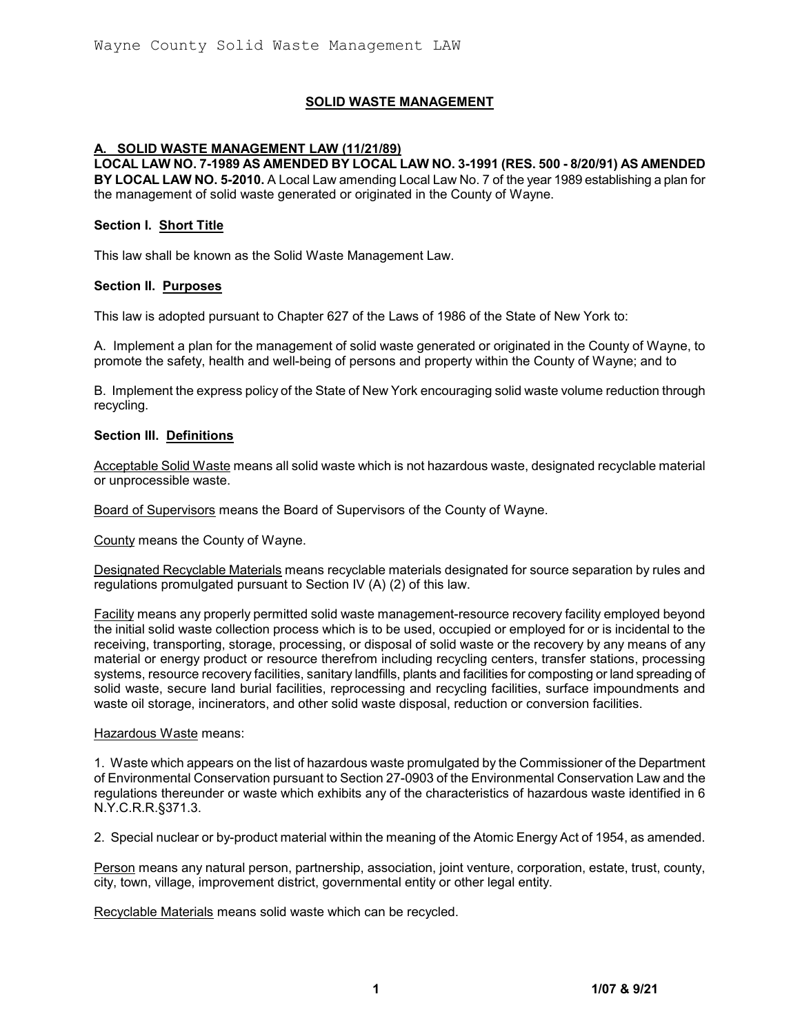## **SOLID WASTE MANAGEMENT**

## **A. SOLID WASTE MANAGEMENT LAW (11/21/89)**

**LOCAL LAW NO. 7-1989 AS AMENDED BY LOCAL LAW NO. 3-1991 (RES. 500 - 8/20/91) AS AMENDED BY LOCAL LAW NO. 5-2010.** A Local Law amending Local Law No. 7 of the year 1989 establishing a plan for the management of solid waste generated or originated in the County of Wayne.

#### **Section I. Short Title**

This law shall be known as the Solid Waste Management Law.

#### **Section II. Purposes**

This law is adopted pursuant to Chapter 627 of the Laws of 1986 of the State of New York to:

A. Implement a plan for the management of solid waste generated or originated in the County of Wayne, to promote the safety, health and well-being of persons and property within the County of Wayne; and to

B. Implement the express policy of the State of New York encouraging solid waste volume reduction through recycling.

#### **Section III. Definitions**

Acceptable Solid Waste means all solid waste which is not hazardous waste, designated recyclable material or unprocessible waste.

Board of Supervisors means the Board of Supervisors of the County of Wayne.

County means the County of Wayne.

Designated Recyclable Materials means recyclable materials designated for source separation by rules and regulations promulgated pursuant to Section IV (A) (2) of this law.

Facility means any properly permitted solid waste management-resource recovery facility employed beyond the initial solid waste collection process which is to be used, occupied or employed for or is incidental to the receiving, transporting, storage, processing, or disposal of solid waste or the recovery by any means of any material or energy product or resource therefrom including recycling centers, transfer stations, processing systems, resource recovery facilities, sanitary landfills, plants and facilities for composting or land spreading of solid waste, secure land burial facilities, reprocessing and recycling facilities, surface impoundments and waste oil storage, incinerators, and other solid waste disposal, reduction or conversion facilities.

#### Hazardous Waste means:

1. Waste which appears on the list of hazardous waste promulgated by the Commissioner of the Department of Environmental Conservation pursuant to Section 27-0903 of the Environmental Conservation Law and the regulations thereunder or waste which exhibits any of the characteristics of hazardous waste identified in 6 N.Y.C.R.R.§371.3.

2. Special nuclear or by-product material within the meaning of the Atomic Energy Act of 1954, as amended.

Person means any natural person, partnership, association, joint venture, corporation, estate, trust, county, city, town, village, improvement district, governmental entity or other legal entity.

Recyclable Materials means solid waste which can be recycled.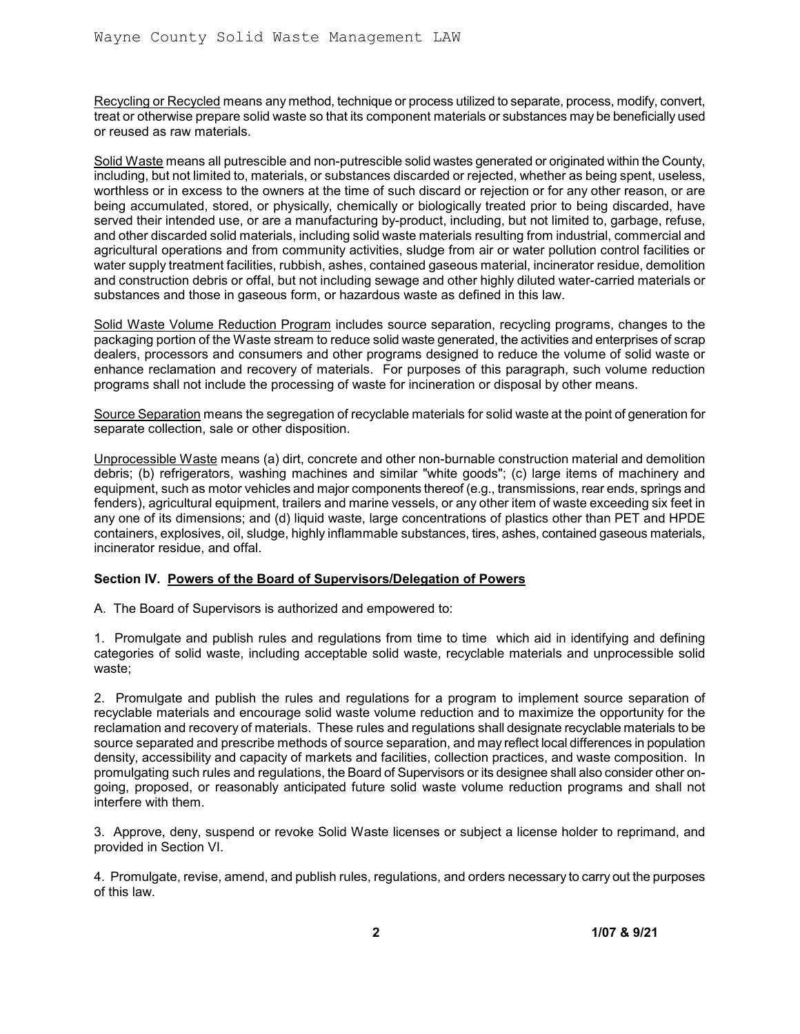Recycling or Recycled means any method, technique or process utilized to separate, process, modify, convert, treat or otherwise prepare solid waste so that its component materials or substances may be beneficially used or reused as raw materials.

Solid Waste means all putrescible and non-putrescible solid wastes generated or originated within the County, including, but not limited to, materials, or substances discarded or rejected, whether as being spent, useless, worthless or in excess to the owners at the time of such discard or rejection or for any other reason, or are being accumulated, stored, or physically, chemically or biologically treated prior to being discarded, have served their intended use, or are a manufacturing by-product, including, but not limited to, garbage, refuse, and other discarded solid materials, including solid waste materials resulting from industrial, commercial and agricultural operations and from community activities, sludge from air or water pollution control facilities or water supply treatment facilities, rubbish, ashes, contained gaseous material, incinerator residue, demolition and construction debris or offal, but not including sewage and other highly diluted water-carried materials or substances and those in gaseous form, or hazardous waste as defined in this law.

Solid Waste Volume Reduction Program includes source separation, recycling programs, changes to the packaging portion of the Waste stream to reduce solid waste generated, the activities and enterprises of scrap dealers, processors and consumers and other programs designed to reduce the volume of solid waste or enhance reclamation and recovery of materials. For purposes of this paragraph, such volume reduction programs shall not include the processing of waste for incineration or disposal by other means.

Source Separation means the segregation of recyclable materials for solid waste at the point of generation for separate collection, sale or other disposition.

Unprocessible Waste means (a) dirt, concrete and other non-burnable construction material and demolition debris; (b) refrigerators, washing machines and similar "white goods"; (c) large items of machinery and equipment, such as motor vehicles and major components thereof (e.g., transmissions, rear ends, springs and fenders), agricultural equipment, trailers and marine vessels, or any other item of waste exceeding six feet in any one of its dimensions; and (d) liquid waste, large concentrations of plastics other than PET and HPDE containers, explosives, oil, sludge, highly inflammable substances, tires, ashes, contained gaseous materials, incinerator residue, and offal.

# **Section IV. Powers of the Board of Supervisors/Delegation of Powers**

A. The Board of Supervisors is authorized and empowered to:

1. Promulgate and publish rules and regulations from time to time which aid in identifying and defining categories of solid waste, including acceptable solid waste, recyclable materials and unprocessible solid waste;

2. Promulgate and publish the rules and regulations for a program to implement source separation of recyclable materials and encourage solid waste volume reduction and to maximize the opportunity for the reclamation and recovery of materials. These rules and regulations shall designate recyclable materials to be source separated and prescribe methods of source separation, and may reflect local differences in population density, accessibility and capacity of markets and facilities, collection practices, and waste composition. In promulgating such rules and regulations, the Board of Supervisors or its designee shall also consider other ongoing, proposed, or reasonably anticipated future solid waste volume reduction programs and shall not interfere with them.

3. Approve, deny, suspend or revoke Solid Waste licenses or subject a license holder to reprimand, and provided in Section VI.

4. Promulgate, revise, amend, and publish rules, regulations, and orders necessary to carry out the purposes of this law.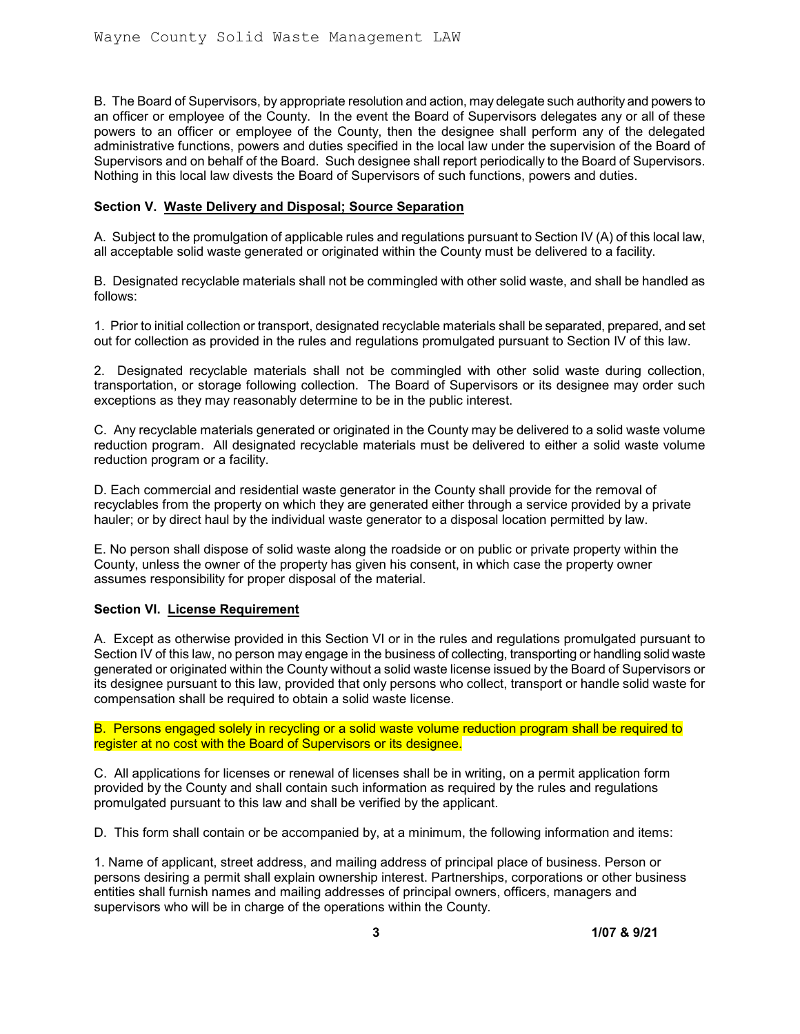B. The Board of Supervisors, by appropriate resolution and action, may delegate such authority and powers to an officer or employee of the County. In the event the Board of Supervisors delegates any or all of these powers to an officer or employee of the County, then the designee shall perform any of the delegated administrative functions, powers and duties specified in the local law under the supervision of the Board of Supervisors and on behalf of the Board. Such designee shall report periodically to the Board of Supervisors. Nothing in this local law divests the Board of Supervisors of such functions, powers and duties.

### **Section V. Waste Delivery and Disposal; Source Separation**

A. Subject to the promulgation of applicable rules and regulations pursuant to Section IV (A) of this local law, all acceptable solid waste generated or originated within the County must be delivered to a facility.

B. Designated recyclable materials shall not be commingled with other solid waste, and shall be handled as follows:

1. Prior to initial collection or transport, designated recyclable materials shall be separated, prepared, and set out for collection as provided in the rules and regulations promulgated pursuant to Section IV of this law.

2. Designated recyclable materials shall not be commingled with other solid waste during collection, transportation, or storage following collection. The Board of Supervisors or its designee may order such exceptions as they may reasonably determine to be in the public interest.

C. Any recyclable materials generated or originated in the County may be delivered to a solid waste volume reduction program. All designated recyclable materials must be delivered to either a solid waste volume reduction program or a facility.

D. Each commercial and residential waste generator in the County shall provide for the removal of recyclables from the property on which they are generated either through a service provided by a private hauler; or by direct haul by the individual waste generator to a disposal location permitted by law.

E. No person shall dispose of solid waste along the roadside or on public or private property within the County, unless the owner of the property has given his consent, in which case the property owner assumes responsibility for proper disposal of the material.

#### **Section VI. License Requirement**

A. Except as otherwise provided in this Section VI or in the rules and regulations promulgated pursuant to Section IV of this law, no person may engage in the business of collecting, transporting or handling solid waste generated or originated within the County without a solid waste license issued by the Board of Supervisors or its designee pursuant to this law, provided that only persons who collect, transport or handle solid waste for compensation shall be required to obtain a solid waste license.

B. Persons engaged solely in recycling or a solid waste volume reduction program shall be required to register at no cost with the Board of Supervisors or its designee.

C. All applications for licenses or renewal of licenses shall be in writing, on a permit application form provided by the County and shall contain such information as required by the rules and regulations promulgated pursuant to this law and shall be verified by the applicant.

D. This form shall contain or be accompanied by, at a minimum, the following information and items:

1. Name of applicant, street address, and mailing address of principal place of business. Person or persons desiring a permit shall explain ownership interest. Partnerships, corporations or other business entities shall furnish names and mailing addresses of principal owners, officers, managers and supervisors who will be in charge of the operations within the County.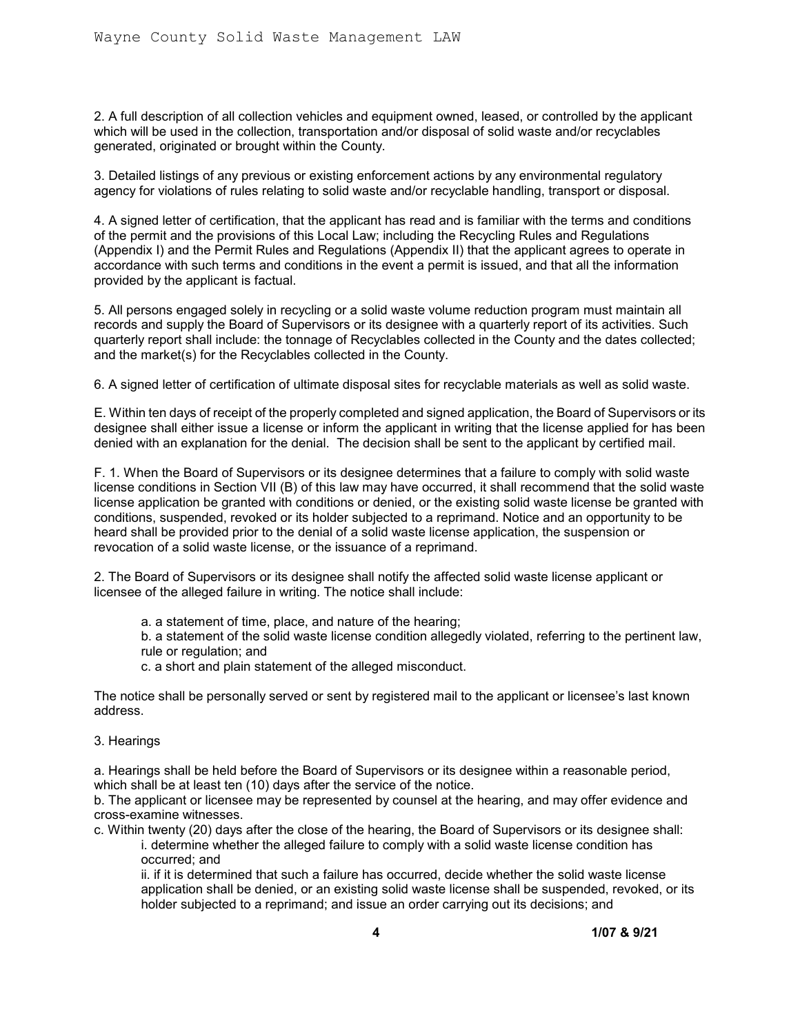2. A full description of all collection vehicles and equipment owned, leased, or controlled by the applicant which will be used in the collection, transportation and/or disposal of solid waste and/or recyclables generated, originated or brought within the County.

3. Detailed listings of any previous or existing enforcement actions by any environmental regulatory agency for violations of rules relating to solid waste and/or recyclable handling, transport or disposal.

4. A signed letter of certification, that the applicant has read and is familiar with the terms and conditions of the permit and the provisions of this Local Law; including the Recycling Rules and Regulations (Appendix I) and the Permit Rules and Regulations (Appendix II) that the applicant agrees to operate in accordance with such terms and conditions in the event a permit is issued, and that all the information provided by the applicant is factual.

5. All persons engaged solely in recycling or a solid waste volume reduction program must maintain all records and supply the Board of Supervisors or its designee with a quarterly report of its activities. Such quarterly report shall include: the tonnage of Recyclables collected in the County and the dates collected; and the market(s) for the Recyclables collected in the County.

6. A signed letter of certification of ultimate disposal sites for recyclable materials as well as solid waste.

E. Within ten days of receipt of the properly completed and signed application, the Board of Supervisors or its designee shall either issue a license or inform the applicant in writing that the license applied for has been denied with an explanation for the denial. The decision shall be sent to the applicant by certified mail.

F. 1. When the Board of Supervisors or its designee determines that a failure to comply with solid waste license conditions in Section VII (B) of this law may have occurred, it shall recommend that the solid waste license application be granted with conditions or denied, or the existing solid waste license be granted with conditions, suspended, revoked or its holder subjected to a reprimand. Notice and an opportunity to be heard shall be provided prior to the denial of a solid waste license application, the suspension or revocation of a solid waste license, or the issuance of a reprimand.

2. The Board of Supervisors or its designee shall notify the affected solid waste license applicant or licensee of the alleged failure in writing. The notice shall include:

- a. a statement of time, place, and nature of the hearing;
- b. a statement of the solid waste license condition allegedly violated, referring to the pertinent law, rule or regulation; and
- c. a short and plain statement of the alleged misconduct.

The notice shall be personally served or sent by registered mail to the applicant or licensee's last known address.

3. Hearings

a. Hearings shall be held before the Board of Supervisors or its designee within a reasonable period, which shall be at least ten (10) days after the service of the notice.

b. The applicant or licensee may be represented by counsel at the hearing, and may offer evidence and cross-examine witnesses.

c. Within twenty (20) days after the close of the hearing, the Board of Supervisors or its designee shall: i. determine whether the alleged failure to comply with a solid waste license condition has occurred; and

ii. if it is determined that such a failure has occurred, decide whether the solid waste license application shall be denied, or an existing solid waste license shall be suspended, revoked, or its holder subjected to a reprimand; and issue an order carrying out its decisions; and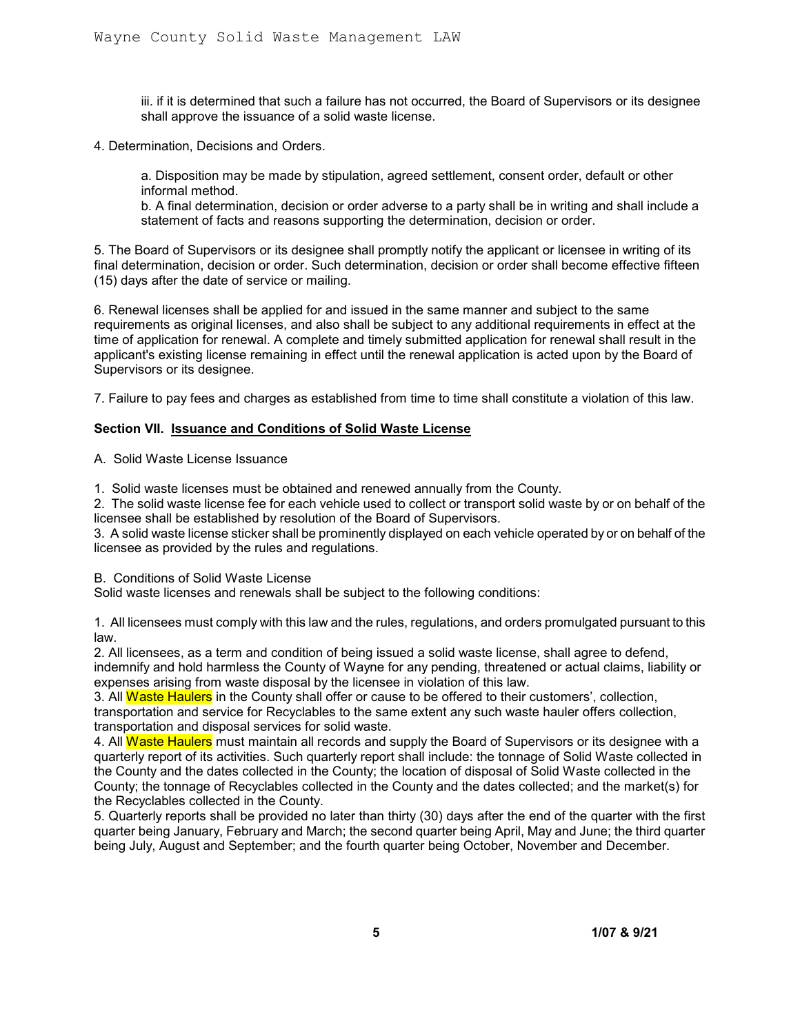iii. if it is determined that such a failure has not occurred, the Board of Supervisors or its designee shall approve the issuance of a solid waste license.

4. Determination, Decisions and Orders.

a. Disposition may be made by stipulation, agreed settlement, consent order, default or other informal method.

b. A final determination, decision or order adverse to a party shall be in writing and shall include a statement of facts and reasons supporting the determination, decision or order.

5. The Board of Supervisors or its designee shall promptly notify the applicant or licensee in writing of its final determination, decision or order. Such determination, decision or order shall become effective fifteen (15) days after the date of service or mailing.

6. Renewal licenses shall be applied for and issued in the same manner and subject to the same requirements as original licenses, and also shall be subject to any additional requirements in effect at the time of application for renewal. A complete and timely submitted application for renewal shall result in the applicant's existing license remaining in effect until the renewal application is acted upon by the Board of Supervisors or its designee.

7. Failure to pay fees and charges as established from time to time shall constitute a violation of this law.

#### **Section VII. Issuance and Conditions of Solid Waste License**

A. Solid Waste License Issuance

1. Solid waste licenses must be obtained and renewed annually from the County.

2. The solid waste license fee for each vehicle used to collect or transport solid waste by or on behalf of the licensee shall be established by resolution of the Board of Supervisors.

3. A solid waste license sticker shall be prominently displayed on each vehicle operated by or on behalf of the licensee as provided by the rules and regulations.

B. Conditions of Solid Waste License

Solid waste licenses and renewals shall be subject to the following conditions:

1. All licensees must comply with this law and the rules, regulations, and orders promulgated pursuant to this law.

2. All licensees, as a term and condition of being issued a solid waste license, shall agree to defend, indemnify and hold harmless the County of Wayne for any pending, threatened or actual claims, liability or expenses arising from waste disposal by the licensee in violation of this law.

3. All Waste Haulers in the County shall offer or cause to be offered to their customers', collection, transportation and service for Recyclables to the same extent any such waste hauler offers collection, transportation and disposal services for solid waste.

4. All Waste Haulers must maintain all records and supply the Board of Supervisors or its designee with a quarterly report of its activities. Such quarterly report shall include: the tonnage of Solid Waste collected in the County and the dates collected in the County; the location of disposal of Solid Waste collected in the County; the tonnage of Recyclables collected in the County and the dates collected; and the market(s) for the Recyclables collected in the County.

5. Quarterly reports shall be provided no later than thirty (30) days after the end of the quarter with the first quarter being January, February and March; the second quarter being April, May and June; the third quarter being July, August and September; and the fourth quarter being October, November and December.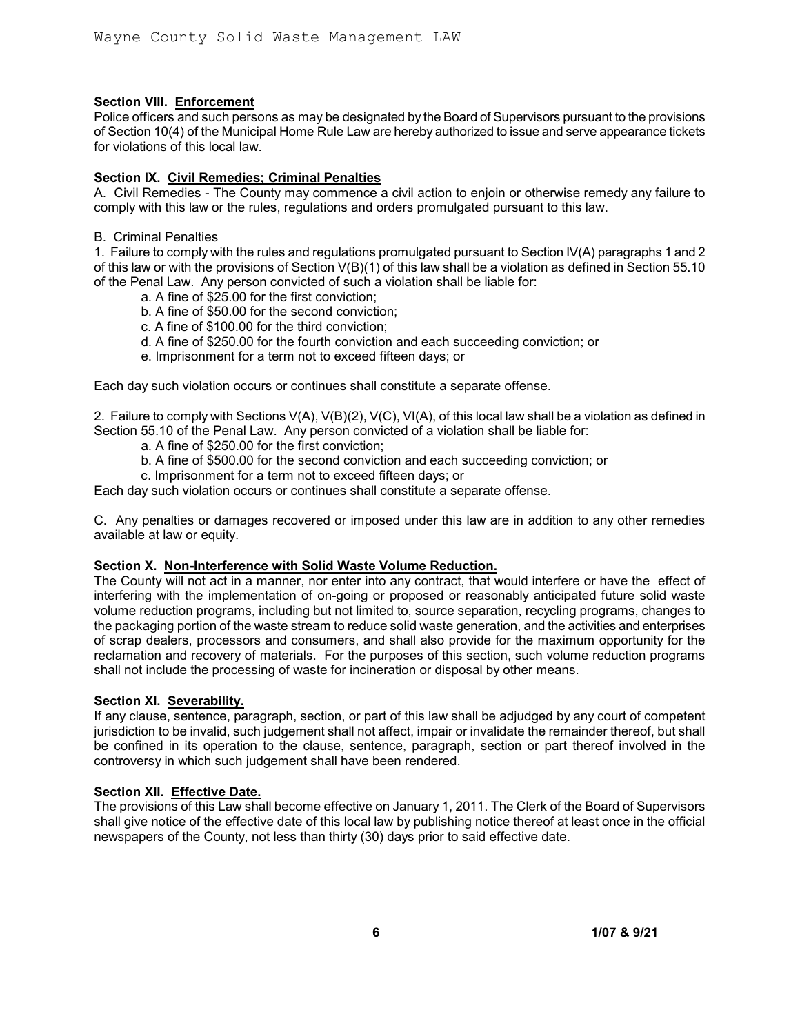## **Section VIII. Enforcement**

Police officers and such persons as may be designated by the Board of Supervisors pursuant to the provisions of Section 10(4) of the Municipal Home Rule Law are hereby authorized to issue and serve appearance tickets for violations of this local law.

## **Section IX. Civil Remedies; Criminal Penalties**

A. Civil Remedies - The County may commence a civil action to enjoin or otherwise remedy any failure to comply with this law or the rules, regulations and orders promulgated pursuant to this law.

B. Criminal Penalties

1. Failure to comply with the rules and regulations promulgated pursuant to Section IV(A) paragraphs 1 and 2 of this law or with the provisions of Section V(B)(1) of this law shall be a violation as defined in Section 55.10 of the Penal Law. Any person convicted of such a violation shall be liable for:

- a. A fine of \$25.00 for the first conviction;
- b. A fine of \$50.00 for the second conviction;
- c. A fine of \$100.00 for the third conviction;
- d. A fine of \$250.00 for the fourth conviction and each succeeding conviction; or
- e. Imprisonment for a term not to exceed fifteen days; or

Each day such violation occurs or continues shall constitute a separate offense.

2. Failure to comply with Sections V(A), V(B)(2), V(C), VI(A), of this local law shall be a violation as defined in Section 55.10 of the Penal Law. Any person convicted of a violation shall be liable for:

- a. A fine of \$250.00 for the first conviction;
- b. A fine of \$500.00 for the second conviction and each succeeding conviction; or
- c. Imprisonment for a term not to exceed fifteen days; or

Each day such violation occurs or continues shall constitute a separate offense.

C. Any penalties or damages recovered or imposed under this law are in addition to any other remedies available at law or equity.

#### **Section X. Non-Interference with Solid Waste Volume Reduction.**

The County will not act in a manner, nor enter into any contract, that would interfere or have the effect of interfering with the implementation of on-going or proposed or reasonably anticipated future solid waste volume reduction programs, including but not limited to, source separation, recycling programs, changes to the packaging portion of the waste stream to reduce solid waste generation, and the activities and enterprises of scrap dealers, processors and consumers, and shall also provide for the maximum opportunity for the reclamation and recovery of materials. For the purposes of this section, such volume reduction programs shall not include the processing of waste for incineration or disposal by other means.

#### **Section XI. Severability.**

If any clause, sentence, paragraph, section, or part of this law shall be adjudged by any court of competent jurisdiction to be invalid, such judgement shall not affect, impair or invalidate the remainder thereof, but shall be confined in its operation to the clause, sentence, paragraph, section or part thereof involved in the controversy in which such judgement shall have been rendered.

#### **Section XII. Effective Date.**

The provisions of this Law shall become effective on January 1, 2011. The Clerk of the Board of Supervisors shall give notice of the effective date of this local law by publishing notice thereof at least once in the official newspapers of the County, not less than thirty (30) days prior to said effective date.